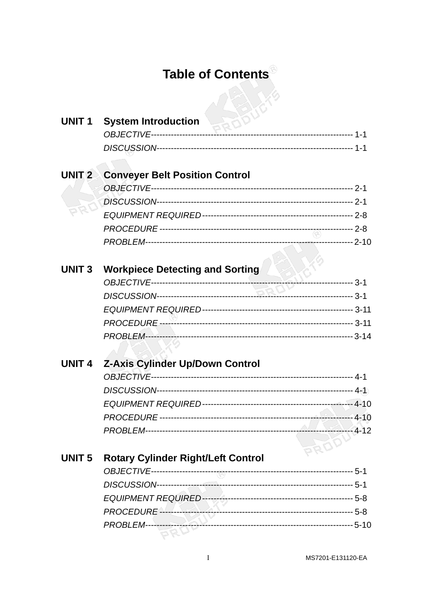## Table of Contents<sup>®</sup>  $D^2$

| <b>UNIT1</b>  | RODUL<br><b>System Introduction</b>       |            |
|---------------|-------------------------------------------|------------|
|               | <b>OBJECTIVE---------------------</b>     |            |
|               |                                           |            |
|               |                                           |            |
| UNIT 2 $\geq$ | <b>Conveyer Belt Position Control</b>     |            |
|               |                                           |            |
|               |                                           |            |
|               |                                           |            |
|               |                                           |            |
|               |                                           |            |
|               |                                           |            |
| <b>UNIT 3</b> | <b>Workpiece Detecting and Sorting</b>    |            |
|               |                                           |            |
|               |                                           |            |
|               |                                           |            |
|               |                                           |            |
|               |                                           |            |
| <b>UNIT 4</b> | <b>Z-Axis Cylinder Up/Down Control</b>    |            |
|               |                                           |            |
|               |                                           |            |
|               |                                           |            |
|               |                                           |            |
|               |                                           |            |
|               |                                           | PRODUCE-12 |
| <b>UNIT 5</b> | <b>Rotary Cylinder Right/Left Control</b> |            |
|               |                                           |            |
|               |                                           |            |
|               |                                           |            |
|               |                                           |            |
|               |                                           |            |
|               |                                           |            |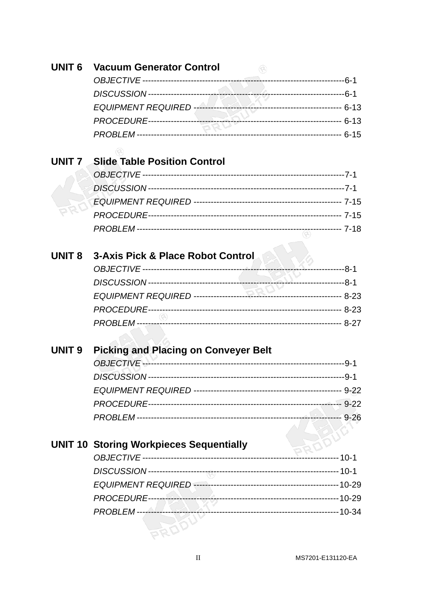| <b>UNIT 6</b>     | <b>Vacuum Generator Control</b>                |          |
|-------------------|------------------------------------------------|----------|
|                   |                                                |          |
|                   |                                                |          |
|                   | EQUIPMENT REQUIRED                             |          |
|                   |                                                |          |
|                   |                                                |          |
|                   |                                                |          |
| UNIT <sub>7</sub> | <b>Slide Table Position Control</b>            |          |
|                   |                                                |          |
|                   |                                                |          |
|                   |                                                |          |
|                   |                                                |          |
|                   |                                                |          |
|                   |                                                |          |
| <b>UNIT 8</b>     | <b>3-Axis Pick &amp; Place Robot Control</b>   |          |
|                   |                                                |          |
|                   |                                                |          |
|                   |                                                |          |
|                   |                                                |          |
|                   |                                                |          |
|                   |                                                |          |
| <b>UNIT 9</b>     | <b>Picking and Placing on Conveyer Belt</b>    |          |
|                   |                                                |          |
|                   |                                                |          |
|                   |                                                |          |
|                   |                                                |          |
|                   |                                                |          |
|                   |                                                |          |
|                   | <b>UNIT 10 Storing Workpieces Sequentially</b> |          |
|                   |                                                | --- 10-1 |
|                   |                                                |          |
|                   |                                                |          |
|                   |                                                |          |
|                   |                                                |          |
|                   |                                                |          |
|                   |                                                |          |
|                   |                                                |          |